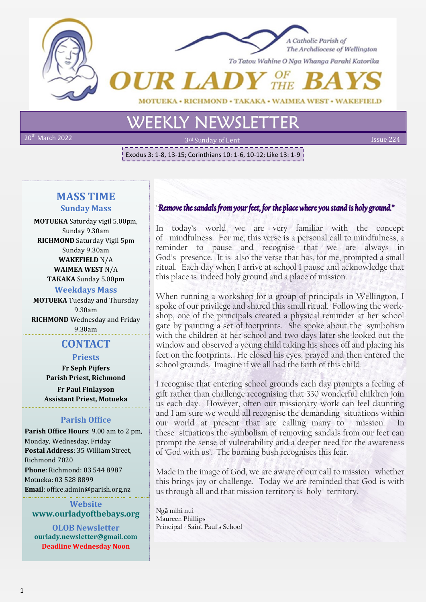



To Tatou Wahine O Nga Whanga Parahi Katorika

• WAIMEA WEST • WAKEFIELD **HMOND.** 

 $20<sup>th</sup>$  March 2022

2nd Sunday of Lent Issue 224

Exodus 3: 1-8, 13-15; Corinthians 10: 1-6, 10-12; Like 13: 1-9

## **MASS TIME Sunday Mass**

**MOTUEKA** Saturday vigil 5.00pm, Sunday 9.30am **RICHMOND** Saturday Vigil 5pm Sunday 9.30am **WAKEFIELD** N/A **WAIMEA WEST** N/A **TAKAKA** Sunday 5.00pm **Weekdays Mass**

**MOTUEKA** Tuesday and Thursday 9.30am **RICHMOND** Wednesday and Friday 9.30am 

# **CONTACT**

## **Priests**

**Fr Seph Pijfers Parish Priest, Richmond Fr Paul Finlayson**

**Assistant Priest, Motueka**

## **Parish Office**

**Parish Office Hours**: 9.00 am to 2 pm, Monday, Wednesday, Friday **Postal Address**: 35 William Street, Richmond 7020 **Phone**: Richmond: 03 544 8987 Motueka: 03 528 8899 **Email**: office.admin@parish.org.nz

**Website www.ourladyofthebays.org**

**OLOB Newsletter ourlady.newsletter@gmail.com Deadline Wednesday Noon**

## "Remove the sandals from your feet, for the place where you stand is holy ground."

In today's world we are very familiar with the concept of mindfulness. For me, this verse is a personal call to mindfulness, a reminder to pause and recognise that we are always in God's presence. It is also the verse that has, for me, prompted a small ritual. Each day when I arrive at school I pause and acknowledge that this place is indeed holy ground and a place of mission.

When running a workshop for a group of principals in Wellington, I spoke of our privilege and shared this small ritual. Following the workshop, one of the principals created a physical reminder at her school gate by painting a set of footprints. She spoke about the symbolism with the children at her school and two days later she looked out the window and observed a young child taking his shoes off and placing his feet on the footprints. He closed his eyes, prayed and then entered the school grounds. Imagine if we all had the faith of this child.

I recognise that entering school grounds each day prompts a feeling of gift rather than challenge recognising that 330 wonderful children join us each day. However, often our missionary work can feel daunting and I am sure we would all recognise the demanding situations within our world at present that are calling many to mission. these situations the symbolism of removing sandals from our feet can prompt the sense of vulnerability and a deeper need for the awareness of 'God with us'. The burning bush recognises this fear.

Made in the image of God, we are aware of our call to mission whether this brings joy or challenge. Today we are reminded that God is with us through all and that mission territory is holy territory.

Ngā mihi nui Maureen Phillips Principal - Saint Paul's School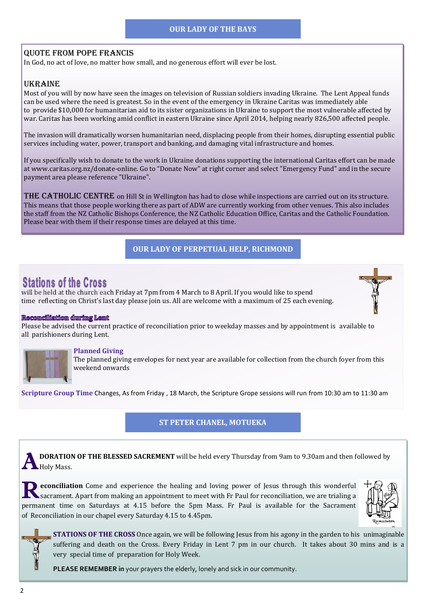#### **OUR LADY OF THE BAYS**

#### Quote from Pope Francis

In God, no act of love, no matter how small, and no generous effort will ever be lost.

#### Ukraine

Most of you will by now have seen the images on television of Russian soldiers invading Ukraine. The Lent Appeal funds can be used where the need is greatest. So in the event of the emergency in Ukraine Caritas was immediately able to provide \$10,000 for humanitarian aid to its sister organizations in Ukraine to support the most vulnerable affected by war. Caritas has been working amid conflict in eastern Ukraine since April 2014, helping nearly 826,500 affected people.

The invasion will dramatically worsen humanitarian need, displacing people from their homes, disrupting essential public services including water, power, transport and banking, and damaging vital infrastructure and homes.

If you specifically wish to donate to the work in Ukraine donations supporting the international Caritas effort can be made at www.caritas.org.nz/donate-online. Go to "Donate Now" at right corner and select "Emergency Fund" and in the secure payment area please reference "Ukraine".

THE CATHOLIC CENTRE on Hill St in Wellington has had to close while inspections are carried out on its structure. This means that those people working there as part of ADW are currently working from other venues. This also includes the staff from the NZ Catholic Bishops Conference, the NZ Catholic Education Office, Caritas and the Catholic Foundation. Please bear with them if their response times are delayed at this time.

#### **OUR LADY OF PERPETUAL HELP, RICHMOND**

# **Stations of the Cross**

will be held at the church each Friday at 7pm from 4 March to 8 April. If you would like to spend time reflecting on Christ's last day please join us. All are welcome with a maximum of 25 each evening.

#### Recomciliation during Lent

Please be advised the current practice of reconciliation prior to weekday masses and by appointment is available to all parishioners during Lent.



#### **Planned Giving**

The planned giving envelopes for next year are available for collection from the church foyer from this weekend onwards

**Scripture Group Time** Changes, As from Friday , 18 March, the Scripture Grope sessions will run from 10:30 am to 11:30 am

#### **ST PETER CHANEL, MOTUEKA**

**A DORATION**<br>Holy Mass. **DORATION OF THE BLESSED SACREMENT** will be held every Thursday from 9am to 9.30am and then followed by

**R** econciliation Come and experience the healing and loving power of Jesus through this wonderful sacrament. Apart from making an appointment to meet with Fr Paul for reconciliation, we are trialing a **econciliation** Come and experience the healing and loving power of Jesus through this wonderful permanent time on Saturdays at 4.15 before the 5pm Mass. Fr Paul is available for the Sacrament of Reconciliation in our chapel every Saturday 4.15 to 4.45pm.



**STATIONS OF THE CROSS** Once again, we will be following Jesus from his agony in the garden to his unimaginable suffering and death on the Cross. Every Friday in Lent 7 pm in our church. It takes about 30 mins and is a very special time of preparation for Holy Week.

**PLEASE REMEMBER in** your prayers the elderly, lonely and sick in our community.